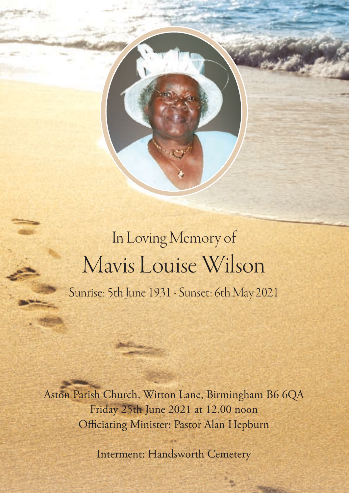Sunrise: 5th June 1931 - Sunset: 6th May 2021 In Loving Memory of Mavis Louise Wilson

Aston Parish Church, Witton Lane, Birmingham B6 6QA Friday 25th June 2021 at 12.00 noon Officiating Minister: Pastor Alan Hepburn

Interment: Handsworth Cemetery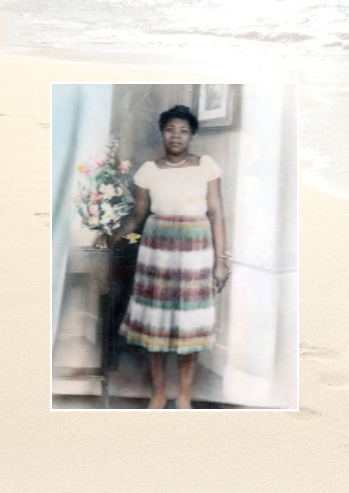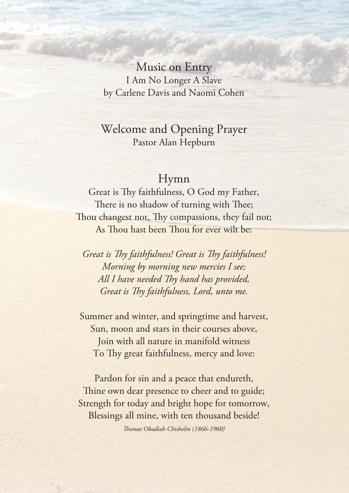# Music on Entry I Am No Longer A Slave by Carlene Davis and Naomi Cohen

# Welcome and Opening Prayer Pastor Alan Hepburn

## Hymn

Great is Thy faithfulness, O God my Father, There is no shadow of turning with Thee; Thou changest not, Thy compassions, they fail not; As Thou hast been Thou for ever wilt be:

*Great is Thy faithfulness! Great is Thy faithfulness! Morning by morning new mercies I see; All I have needed Thy hand has provided, Great is Thy faithfulness, Lord, unto me.*

Summer and winter, and springtime and harvest, Sun, moon and stars in their courses above, Join with all nature in manifold witness To Thy great faithfulness, mercy and love:

Pardon for sin and a peace that endureth, Thine own dear presence to cheer and to guide; Strength for today and bright hope for tomorrow, Blessings all mine, with ten thousand beside!

*Thomas Obadiah Chisholm (1866-1960)*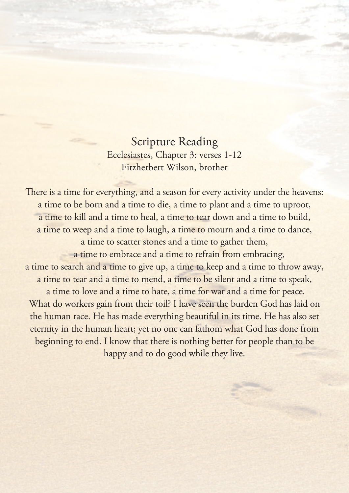Scripture Reading Ecclesiastes, Chapter 3: verses 1-12 Fitzherbert Wilson, brother

There is a time for everything, and a season for every activity under the heavens: a time to be born and a time to die, a time to plant and a time to uproot, a time to kill and a time to heal, a time to tear down and a time to build, a time to weep and a time to laugh, a time to mourn and a time to dance, a time to scatter stones and a time to gather them, a time to embrace and a time to refrain from embracing, a time to search and a time to give up, a time to keep and a time to throw away, a time to tear and a time to mend, a time to be silent and a time to speak, a time to love and a time to hate, a time for war and a time for peace. What do workers gain from their toil? I have seen the burden God has laid on the human race. He has made everything beautiful in its time. He has also set eternity in the human heart; yet no one can fathom what God has done from beginning to end. I know that there is nothing better for people than to be happy and to do good while they live.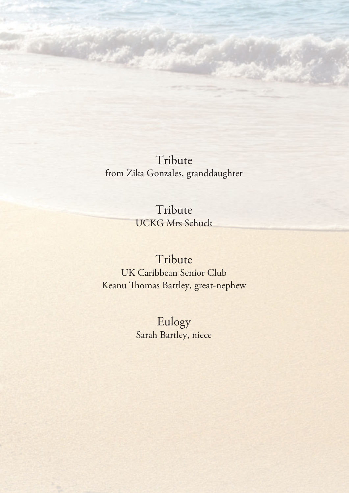Tribute from Zika Gonzales, granddaughter

> Tribute UCKG Mrs Schuck

Tribute UK Caribbean Senior Club Keanu Thomas Bartley, great-nephew

> Eulogy Sarah Bartley, niece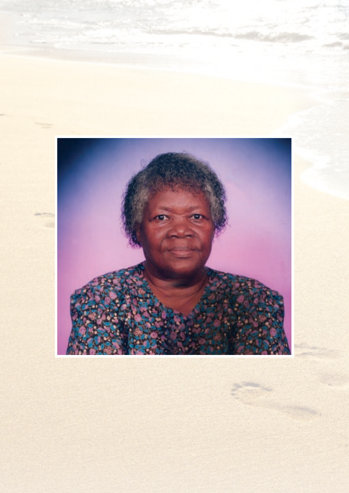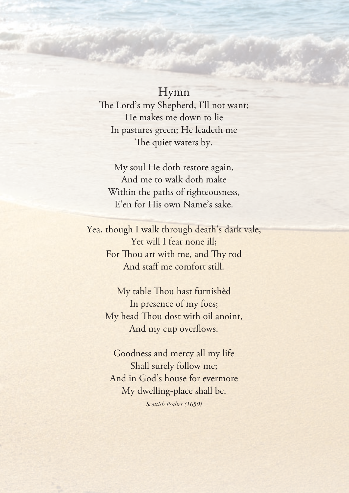# Hymn

The Lord's my Shepherd, I'll not want; He makes me down to lie In pastures green; He leadeth me The quiet waters by.

My soul He doth restore again, And me to walk doth make Within the paths of righteousness, E'en for His own Name's sake.

Yea, though I walk through death's dark vale, Yet will I fear none ill; For Thou art with me, and Thy rod And staff me comfort still.

> My table Thou hast furnishèd In presence of my foes; My head Thou dost with oil anoint, And my cup overflows.

Goodness and mercy all my life Shall surely follow me; And in God's house for evermore My dwelling-place shall be. *Scottish Psalter (1650)*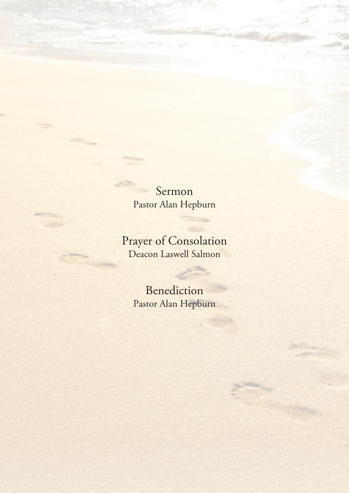Sermon Pastor Alan Hepburn

# Prayer of Consolation Deacon Laswell Salmon

Benediction Pastor Alan Hepburn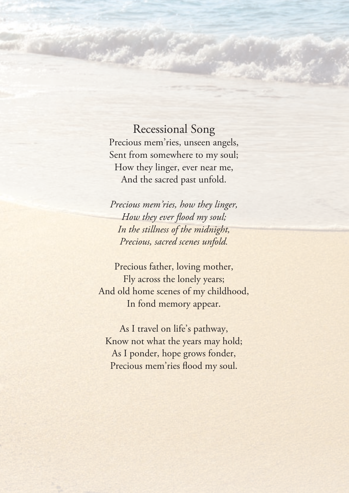Recessional Song Precious mem'ries, unseen angels, Sent from somewhere to my soul; How they linger, ever near me, And the sacred past unfold.

*Precious mem'ries, how they linger, How they ever flood my soul; In the stillness of the midnight, Precious, sacred scenes unfold.*

Precious father, loving mother, Fly across the lonely years; And old home scenes of my childhood, In fond memory appear.

As I travel on life's pathway, Know not what the years may hold; As I ponder, hope grows fonder, Precious mem'ries flood my soul.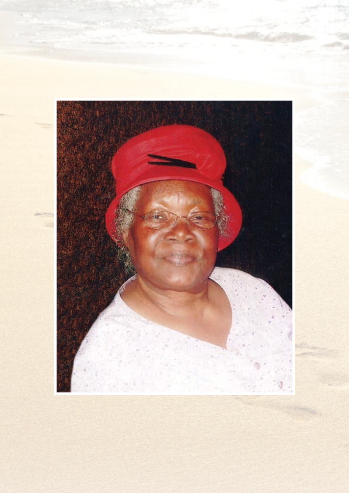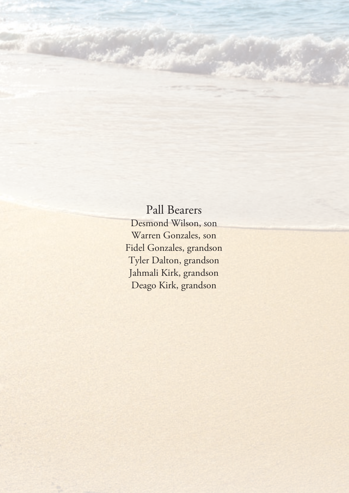Pall Bearers Desmond Wilson, son Warren Gonzales, son Fidel Gonzales, grandson Tyler Dalton, grandson Jahmali Kirk, grandson Deago Kirk, grandson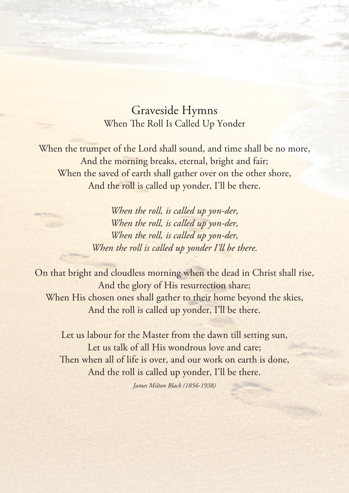## Graveside Hymns When The Roll Is Called Up Yonder

When the trumpet of the Lord shall sound, and time shall be no more, And the morning breaks, eternal, bright and fair; When the saved of earth shall gather over on the other shore, And the roll is called up yonder, I'll be there.

> *When the roll, is called up yon-der, When the roll, is called up yon-der, When the roll, is called up yon-der, When the roll is called up yonder I'll be there.*

On that bright and cloudless morning when the dead in Christ shall rise, And the glory of His resurrection share; When His chosen ones shall gather to their home beyond the skies, And the roll is called up yonder, I'll be there.

Let us labour for the Master from the dawn till setting sun, Let us talk of all His wondrous love and care; Then when all of life is over, and our work on earth is done, And the roll is called up yonder, I'll be there.

*James Milton Black (1856-1938)*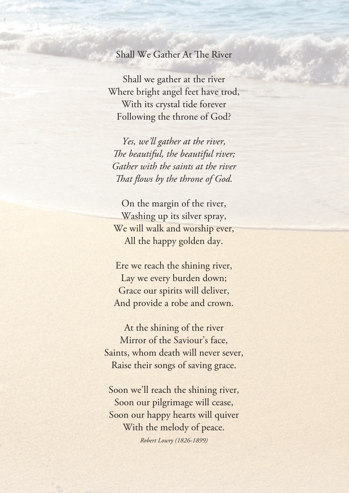### Shall We Gather At The River

Shall we gather at the river Where bright angel feet have trod, With its crystal tide forever Following the throne of God?

*Yes, we'll gather at the river, The beautiful, the beautiful river; Gather with the saints at the river That flows by the throne of God.*

On the margin of the river, Washing up its silver spray, We will walk and worship ever, All the happy golden day.

Ere we reach the shining river, Lay we every burden down; Grace our spirits will deliver, And provide a robe and crown.

At the shining of the river Mirror of the Saviour's face, Saints, whom death will never sever, Raise their songs of saving grace.

Soon we'll reach the shining river, Soon our pilgrimage will cease, Soon our happy hearts will quiver With the melody of peace.

*Robert Lowry (1826-1899)*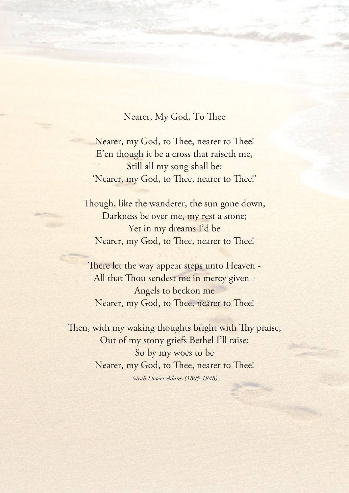## Nearer, My God, To Thee

Nearer, my God, to Thee, nearer to Thee! E'en though it be a cross that raiseth me, Still all my song shall be: 'Nearer, my God, to Thee, nearer to Thee!'

Though, like the wanderer, the sun gone down, Darkness be over me, my rest a stone; Yet in my dreams I'd be Nearer, my God, to Thee, nearer to Thee!

There let the way appear steps unto Heaven - All that Thou sendest me in mercy given - Angels to beckon me Nearer, my God, to Thee, nearer to Thee!

Then, with my waking thoughts bright with Thy praise, Out of my stony griefs Bethel I'll raise; So by my woes to be Nearer, my God, to Thee, nearer to Thee! *Sarah Flower Adams (1805-1848)*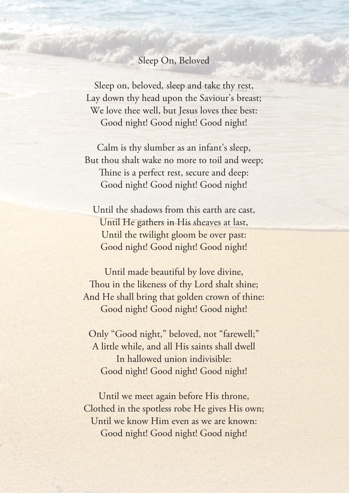#### Sleep On, Beloved

Sleep on, beloved, sleep and take thy rest, Lay down thy head upon the Saviour's breast; We love thee well, but Jesus loves thee best: Good night! Good night! Good night!

Calm is thy slumber as an infant's sleep, But thou shalt wake no more to toil and weep; Thine is a perfect rest, secure and deep: Good night! Good night! Good night!

Until the shadows from this earth are cast, Until He gathers in His sheaves at last, Until the twilight gloom be over past: Good night! Good night! Good night!

Until made beautiful by love divine, Thou in the likeness of thy Lord shalt shine; And He shall bring that golden crown of thine: Good night! Good night! Good night!

Only "Good night," beloved, not "farewell;" A little while, and all His saints shall dwell In hallowed union indivisible: Good night! Good night! Good night!

Until we meet again before His throne, Clothed in the spotless robe He gives His own; Until we know Him even as we are known: Good night! Good night! Good night!